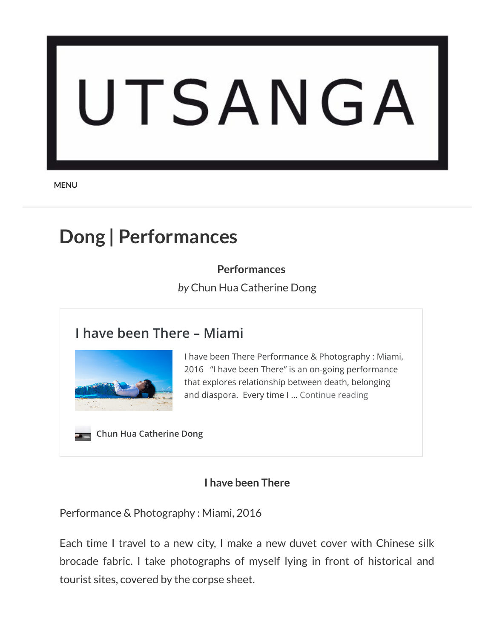# UTSANGA

**MENU**

# **Dong | Performances**

**Performances**

*by* Chun Hua Catherine Dong

# **[I have been There – Miami](https://chunhuacatherinedong.com/portfolio/i-have-been-there-iv/)**



I have been There Performance & Photography : Miami, 2016 "I have been There" is an on-going performance that explores relationship between death, belonging and diaspora. Every time I … [Continue reading](https://chunhuacatherinedong.com/portfolio/i-have-been-there-iv/)

**[Chun Hua Catherine Dong](https://chunhuacatherinedong.com/)**

## **I have been There**

Performance & Photography : Miami, 2016

Each time I travel to a new city, I make a new duvet cover with Chinese silk brocade fabric. I take photographs of myself lying in front of historical and tourist sites, covered by the corpse sheet.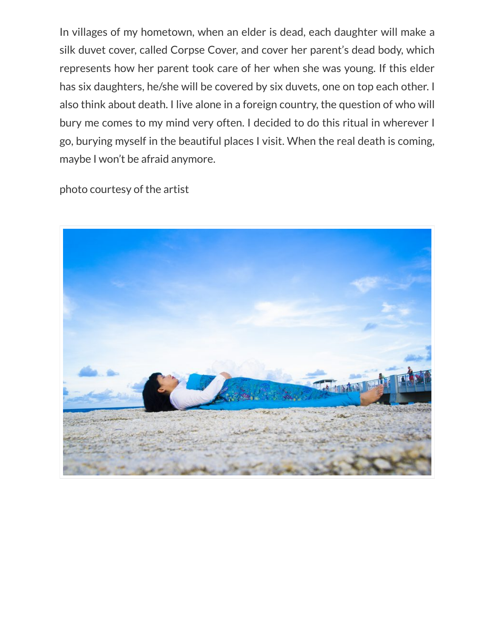In villages of my hometown, when an elder is dead, each daughter will make a silk duvet cover, called Corpse Cover, and cover her parent's dead body, which represents how her parent took care of her when she was young. If this elder has six daughters, he/she will be covered by six duvets, one on top each other. I also think about death. I live alone in a foreign country, the question of who will bury me comes to my mind very often. I decided to do this ritual in wherever I go, burying myself in the beautiful places I visit. When the real death is coming, maybe I won't be afraid anymore.

photo courtesy of the artist

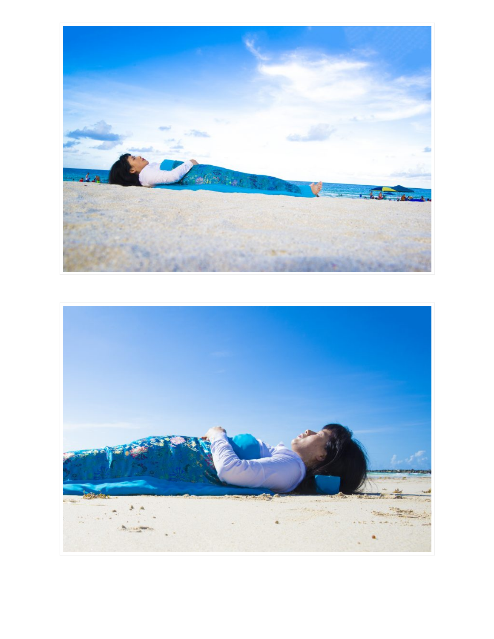

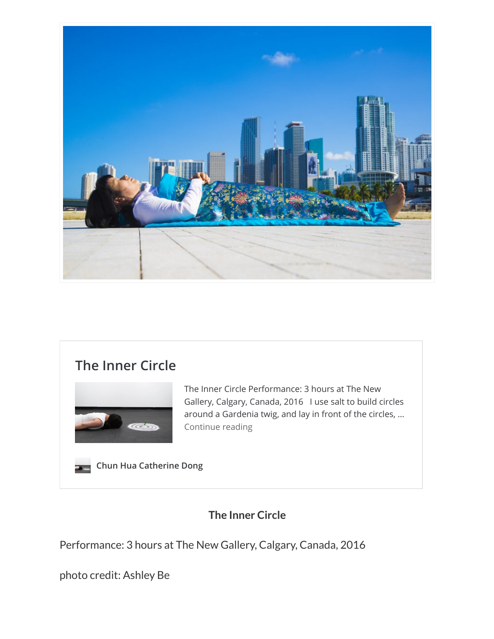

## **[The Inner Circle](https://chunhuacatherinedong.com/portfolio/a-touch-of-shame/)**



The Inner Circle Performance: 3 hours at The New Gallery, Calgary, Canada, 2016 I use salt to build circles around a Gardenia twig, and lay in front of the circles, … [Continue reading](https://chunhuacatherinedong.com/portfolio/a-touch-of-shame/)

**[Chun Hua Catherine Dong](https://chunhuacatherinedong.com/)**

**The Inner Circle**

Performance: 3 hours at The New Gallery, Calgary, Canada, 2016

photo credit: Ashley Be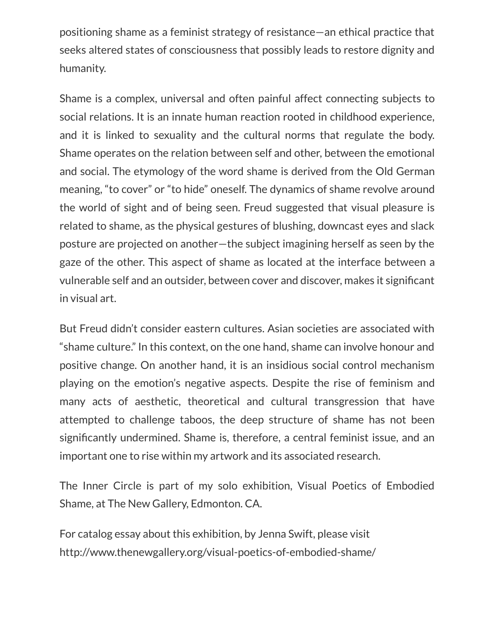positioning shame as a feminist strategy of resistance—an ethical practice that seeks altered states of consciousness that possibly leads to restore dignity and humanity.

Shame is a complex, universal and often painful affect connecting subjects to social relations. It is an innate human reaction rooted in childhood experience, and it is linked to sexuality and the cultural norms that regulate the body. Shame operates on the relation between self and other, between the emotional and social. The etymology of the word shame is derived from the Old German meaning, "to cover" or "to hide" oneself. The dynamics of shame revolve around the world of sight and of being seen. Freud suggested that visual pleasure is related to shame, as the physical gestures of blushing, downcast eyes and slack posture are projected on another—the subject imagining herself as seen by the gaze of the other. This aspect of shame as located at the interface between a vulnerable self and an outsider, between cover and discover, makes it significant in visual art.

But Freud didn't consider eastern cultures. Asian societies are associated with "shame culture." In this context, on the one hand, shame can involve honour and positive change. On another hand, it is an insidious social control mechanism playing on the emotion's negative aspects. Despite the rise of feminism and many acts of aesthetic, theoretical and cultural transgression that have attempted to challenge taboos, the deep structure of shame has not been significantly undermined. Shame is, therefore, a central feminist issue, and an important one to rise within my artwork and its associated research.

The Inner Circle is part of my solo exhibition, Visual Poetics of Embodied Shame, at The New Gallery, Edmonton. CA.

For catalog essay about this exhibition, by Jenna Swift, please visit http://www.thenewgallery.org/visual-poetics-of-embodied-shame/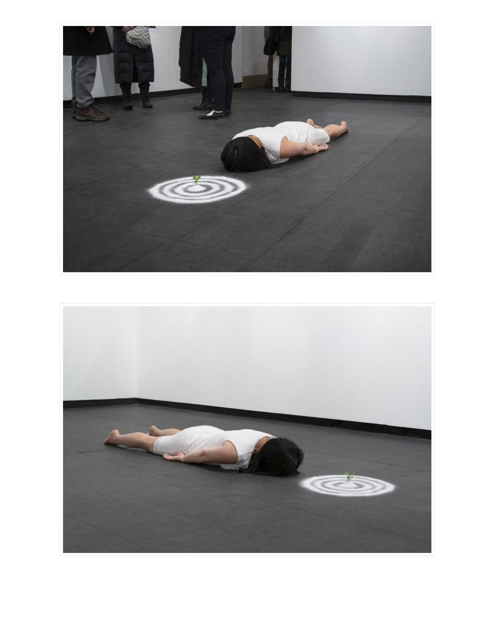

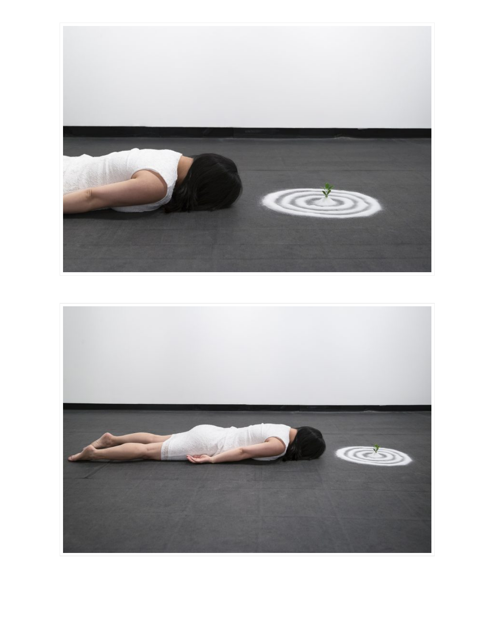

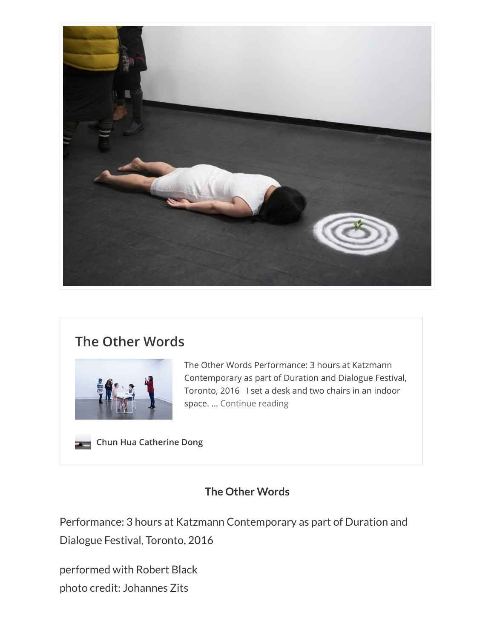

# **[The Other Words](https://chunhuacatherinedong.com/portfolio/the-other-words-3/)**



The Other Words Performance: 3 hours at Katzmann Contemporary as part of Duration and Dialogue Festival, Toronto, 2016 I set a desk and two chairs in an indoor space. … [Continue reading](https://chunhuacatherinedong.com/portfolio/the-other-words-3/)

**[Chun Hua Catherine Dong](https://chunhuacatherinedong.com/)**

## **The Other Words**

Performance: 3 hours at Katzmann Contemporary as part of Duration and Dialogue Festival, Toronto, 2016

performed with Robert Black photo credit: Johannes Zits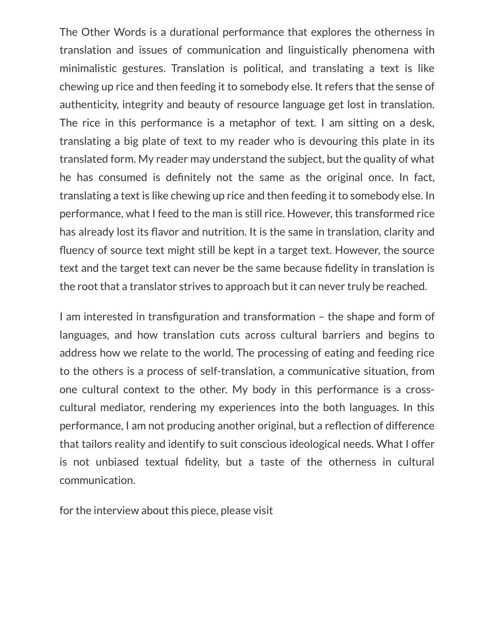The Other Words is a durational performance that explores the otherness in translation and issues of communication and linguistically phenomena with minimalistic gestures. Translation is political, and translating a text is like chewing up rice and then feeding it to somebody else. It refers that the sense of authenticity, integrity and beauty of resource language get lost in translation. The rice in this performance is a metaphor of text. I am sitting on a desk, translating a big plate of text to my reader who is devouring this plate in its translated form. My reader may understand the subject, but the quality of what he has consumed is definitely not the same as the original once. In fact, translating a text is like chewing up rice and then feeding it to somebody else. In performance, what I feed to the man is still rice. However, this transformed rice has already lost its flavor and nutrition. It is the same in translation, clarity and fluency of source text might still be kept in a target text. However, the source text and the target text can never be the same because fidelity in translation is the root that a translator strives to approach but it can never truly be reached.

I am interested in transfiguration and transformation – the shape and form of languages, and how translation cuts across cultural barriers and begins to address how we relate to the world. The processing of eating and feeding rice to the others is a process of self-translation, a communicative situation, from one cultural context to the other. My body in this performance is a crosscultural mediator, rendering my experiences into the both languages. In this performance, I am not producing another original, but a reflection of difference that tailors reality and identify to suit conscious ideological needs. What I offer is not unbiased textual fidelity, but a taste of the otherness in cultural communication.

for the interview about this piece, please visit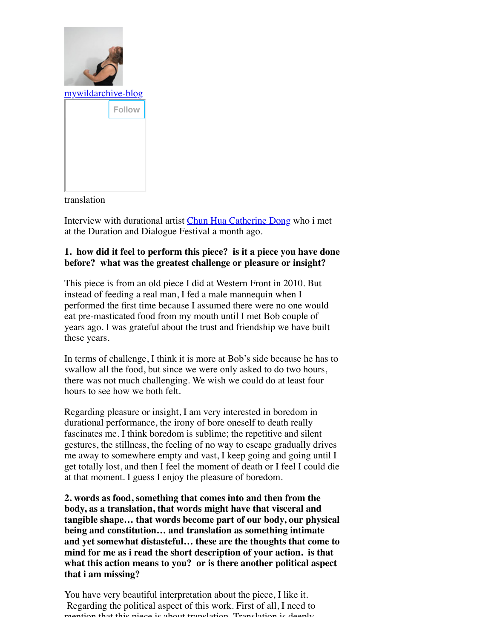

translation

Interview with durational artist [Chun Hua Catherine Dong](https://t.umblr.com/redirect?z=https%3A%2F%2Fchunhuacatherinedong.wordpress.com%2F&t=YzYxOWJmYTg4YmU0YmE0OWY5NmMwMTBjN2VjNzJlMDYwZWRiNWY1OCxWcGVER1B0ZA%3D%3D&b=t%3AosDwPp0KtMHK4jeQgOjTng&p=https%3A%2F%2Fmywildarchive-blog.tumblr.com%2Fpost%2F139500325859%2Ftranslation&m=1) who i met at the Duration and Dialogue Festival a month ago.

## **1. how did it feel to perform this piece? is it a piece you have done before? what was the greatest challenge or pleasure or insight?**

This piece is from an old piece I did at Western Front in 2010. But instead of feeding a real man, I fed a male mannequin when I performed the first time because I assumed there were no one would eat pre-masticated food from my mouth until I met Bob couple of years ago. I was grateful about the trust and friendship we have built these years.

In terms of challenge, I think it is more at Bob's side because he has to swallow all the food, but since we were only asked to do two hours, there was not much challenging. We wish we could do at least four hours to see how we both felt.

Regarding pleasure or insight, I am very interested in boredom in durational performance, the irony of bore oneself to death really fascinates me. I think boredom is sublime; the repetitive and silent gestures, the stillness, the feeling of no way to escape gradually drives me away to somewhere empty and vast, I keep going and going until I get totally lost, and then I feel the moment of death or I feel I could die at that moment. I guess I enjoy the pleasure of boredom.

**2. words as food, something that comes into and then from the body, as a translation, that words might have that visceral and tangible shape… that words become part of our body, our physical being and constitution… and translation as something intimate and yet somewhat distasteful… these are the thoughts that come to mind for me as i read the short description of your action. is that what this action means to you? or is there another political aspect that i am missing?**

You have very beautiful interpretation about the piece, I like it. Regarding the political aspect of this work. First of all, I need to mention that this piece is about translation Translation is deeply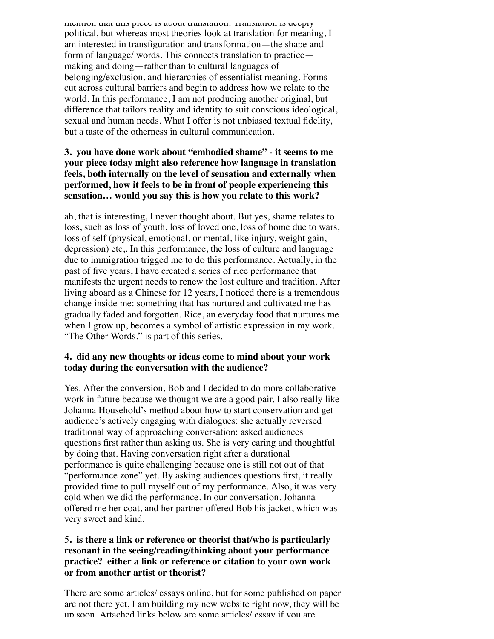mention that this piece is about translation. Translation is deeply political, but whereas most theories look at translation for meaning, I am interested in transfiguration and transformation—the shape and form of language/ words. This connects translation to practice making and doing—rather than to cultural languages of belonging/exclusion, and hierarchies of essentialist meaning. Forms cut across cultural barriers and begin to address how we relate to the world. In this performance, I am not producing another original, but difference that tailors reality and identity to suit conscious ideological, sexual and human needs. What I offer is not unbiased textual fidelity, but a taste of the otherness in cultural communication.

#### **3. you have done work about "embodied shame" - it seems to me your piece today might also reference how language in translation feels, both internally on the level of sensation and externally when performed, how it feels to be in front of people experiencing this sensation… would you say this is how you relate to this work?**

ah, that is interesting, I never thought about. But yes, shame relates to loss, such as loss of youth, loss of loved one, loss of home due to wars, loss of self (physical, emotional, or mental, like injury, weight gain, depression) etc,. In this performance, the loss of culture and language due to immigration trigged me to do this performance. Actually, in the past of five years, I have created a series of rice performance that manifests the urgent needs to renew the lost culture and tradition. After living aboard as a Chinese for 12 years, I noticed there is a tremendous change inside me: something that has nurtured and cultivated me has gradually faded and forgotten. Rice, an everyday food that nurtures me when I grow up, becomes a symbol of artistic expression in my work. "The Other Words," is part of this series.

#### **4. did any new thoughts or ideas come to mind about your work today during the conversation with the audience?**

Yes. After the conversion, Bob and I decided to do more collaborative work in future because we thought we are a good pair. I also really like Johanna Household's method about how to start conservation and get audience's actively engaging with dialogues: she actually reversed traditional way of approaching conversation: asked audiences questions first rather than asking us. She is very caring and thoughtful by doing that. Having conversation right after a durational performance is quite challenging because one is still not out of that "performance zone" yet. By asking audiences questions first, it really provided time to pull myself out of my performance. Also, it was very cold when we did the performance. In our conversation, Johanna offered me her coat, and her partner offered Bob his jacket, which was very sweet and kind.

### 5**. is there a link or reference or theorist that/who is particularly resonant in the seeing/reading/thinking about your performance practice? either a link or reference or citation to your own work or from another artist or theorist?**

There are some articles/ essays online, but for some published on paper are not there yet, I am building my new website right now, they will be up soon Attached links below are some articles/ essay if you are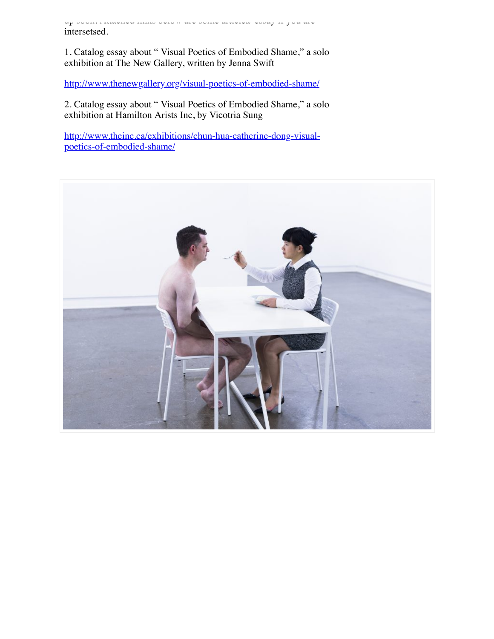up soon. Attached mass below are some articles/ essay intersetsed.

1. Catalog essay about " Visual Poetics of Embodied Shame," a solo exhibition at The New Gallery, written by Jenna Swift

[http://www.thenewgallery.org/visual-poetics-of-embodied-shame/](https://t.umblr.com/redirect?z=http%3A%2F%2Fwww.thenewgallery.org%2Fvisual-poetics-of-embodied-shame%2F&t=YjA0ZjE1MDhjNWNmOWRmMzhkNzJjMDFiZDYyZGY0ZWUyMTdlYzE4ZSxWcGVER1B0ZA%3D%3D&b=t%3AosDwPp0KtMHK4jeQgOjTng&p=https%3A%2F%2Fmywildarchive-blog.tumblr.com%2Fpost%2F139500325859%2Ftranslation&m=1)

2. Catalog essay about " Visual Poetics of Embodied Shame," a solo exhibition at Hamilton Arists Inc, by Vicotria Sung

[http://www.theinc.ca/exhibitions/chun-hua-catherine-dong-visual](https://t.umblr.com/redirect?z=http%3A%2F%2Fwww.theinc.ca%2Fexhibitions%2Fchun-hua-catherine-dong-visual-poetics-of-embodied-shame%2F&t=MzQwMDc3ZmFjYjE2YjYzYmIwNDQyZTY5YWZiNDk3YTE2MzdmZWU1ZCxWcGVER1B0ZA%3D%3D&b=t%3AosDwPp0KtMHK4jeQgOjTng&p=https%3A%2F%2Fmywildarchive-blog.tumblr.com%2Fpost%2F139500325859%2Ftranslation&m=1)poetics-of-embodied-shame/

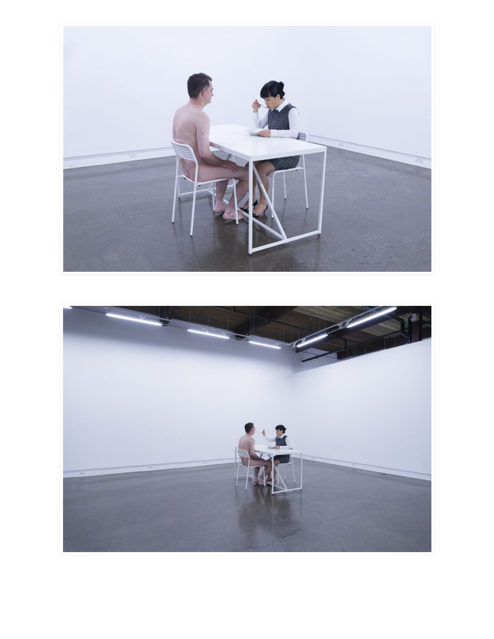

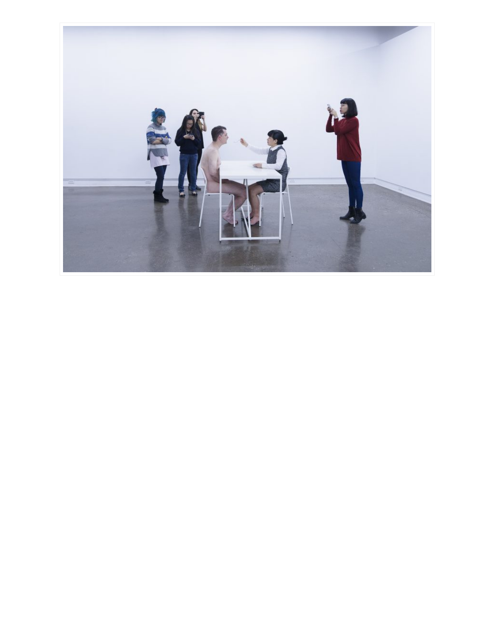